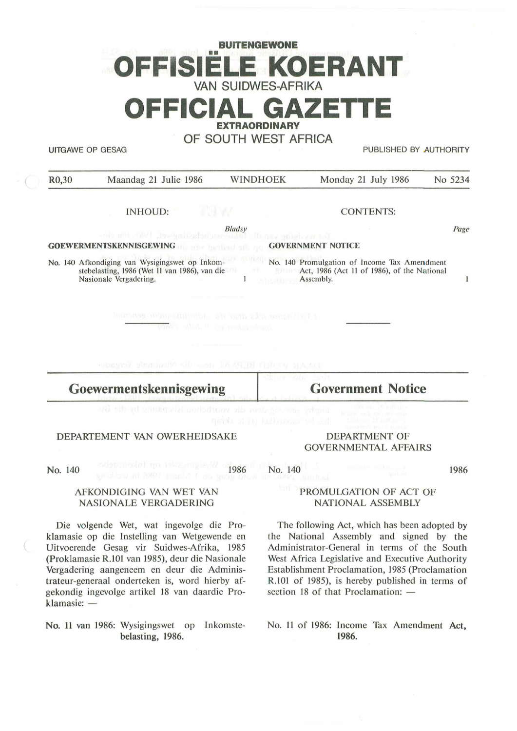# **BUITENGEWONE**  •• **OFFISIELE KOERANT VAN SUIDWES-AFRIKA OFFICIAL GAZET**

**ERAORDINARY** 

**OF SOUTH WEST AFRICA** 

UITGAWE OP GESAG PUBLISHED BY AUTHORITY

| R <sub>0</sub> ,30      | Maandag 21 Julie 1986                                                                                                     | <b>WINDHOEK</b>               | Monday 21 July 1986                                                                                      | No 5234 |
|-------------------------|---------------------------------------------------------------------------------------------------------------------------|-------------------------------|----------------------------------------------------------------------------------------------------------|---------|
|                         | INHOUD:                                                                                                                   |                               | <b>CONTENTS:</b>                                                                                         |         |
|                         | the not fait to minimize of the main of this research                                                                     | <b>Bladsy</b>                 |                                                                                                          | Page    |
|                         | <b>GOEWERMENTSKENNISGEWING COVERNMENT NOTICE</b>                                                                          |                               |                                                                                                          |         |
|                         | No. 140 Afkondiging van Wysigingswet op Inkom-<br>stebelasting, 1986 (Wet 11 van 1986), van die<br>Nasionale Vergadering. | 原料设计<br><b>Allocabilizars</b> | No. 140 Promulgation of Income Tax Amendment<br>Act, 1986 (Act 11 of 1986), of the National<br>Assembly. |         |
|                         | Liberance into the man in the street of the second                                                                        | andertaken en teknologi       |                                                                                                          |         |
|                         | DAAR WURDER SERBA den die Nusionale Vergan                                                                                |                               |                                                                                                          |         |
| Goewermentskennisgewing |                                                                                                                           |                               | <b>Government Notice</b>                                                                                 |         |
|                         |                                                                                                                           |                               |                                                                                                          |         |

#### DEPARTEMENT VAN OWERHEIDSAKE

No. 140

1986

AFKONDIGING VAN WET VAN NASIONALE VERGADERING

Die volgende Wet, wat ingevolge die Proklamasie op die lnstelling van Wetgewende en Uitvoerende Gesag vir Suidwes-Afrika, 1985 (Proklamasie R.101 van 1985), deur die Nasionale Vergadering aangeneem en deur die Administrateur-generaal onderteken is, word hierby afgekondig ingevolge artikel 18 van daardie Proklamasie: -

**No. 11** van 1986: Wysigingswet op Inkomstebelasting, 1986.

#### DEPARTMENT OF GOVERNMENTAL AFFAIRS

No. 140

1986

### PROMULGATION OF ACT OF NATIONAL ASSEMBLY

The following Act, which has been adopted by the National Assembly and signed by the Administrator-General in terms of the South West Africa Legislative and Executive Authority Establishment Proclamation, 1985 (Proclamation R.101 of 1985), is hereby published in terms of section 18 of that Proclamation:  $-$ 

No. **11** of 1986: Income Tax Amendment **Act, 1986.**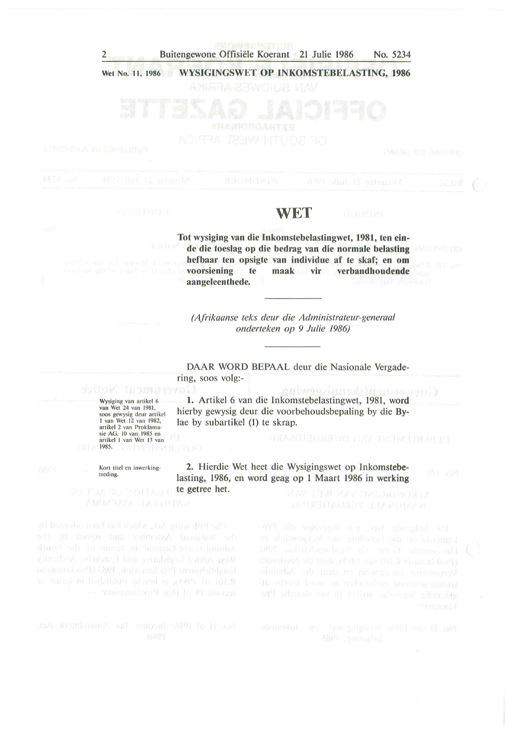#### 2 Buitengewone Offisiele Koerant 21 Julie 1986 **No.** 5234

#### Wet No. 11, 1986 **WYSIGINGSWET OP INKOMSTEBELASTING, 1986**

**aangeleenthede.** 

## **WET**

**Tot wysiging van die Inkomstebelastingwet, 1981, ten einde die toeslag op die bedrag van die normale belasting hefbaar ten opsigte van individue af te skaf; en om voorsiening te maak vir verbandhoudende** 

*(Afrikaanse teks deur die Administrateur-generaal onderteken op 9 Julie 1986)* 

**DAAR WORD BEPAAL** deur die Nasionale Vergadering, SOOS volg:-

Corwerandistranter (1999) **1.** Artikel 6 van die Inkomstebelastingwet, 1981, **word**  hierby gewysig deur die voorbehoudsbepaling by die **By**lae by subartikel (1) te skrap.

**2.** Hierdie Wet heet die Wysigingswet op Inkomstebelasting, 1986, en word geag op **1** Maart 1986 in **werking** 

MAY THW MAY DIMIDIONITA

gekondig ingeverber artiket 18 van daardie Pro-

Wysiging van artikel 6<br>van Wet 24 van 1981, soos gewysig deur artikel<br>1 van Wet 12 van 1982, artikel 2 van Proklamasie AG. 10 van 1985 en<br>artikel 1 van Wet 13 van 1985.

Kort titel en inwerkingtreding.

te getree het.

The battering Act, which had been adopted by West Africa Legislative and Encember Amthority to ames at bedsidum udound at result to 101.9